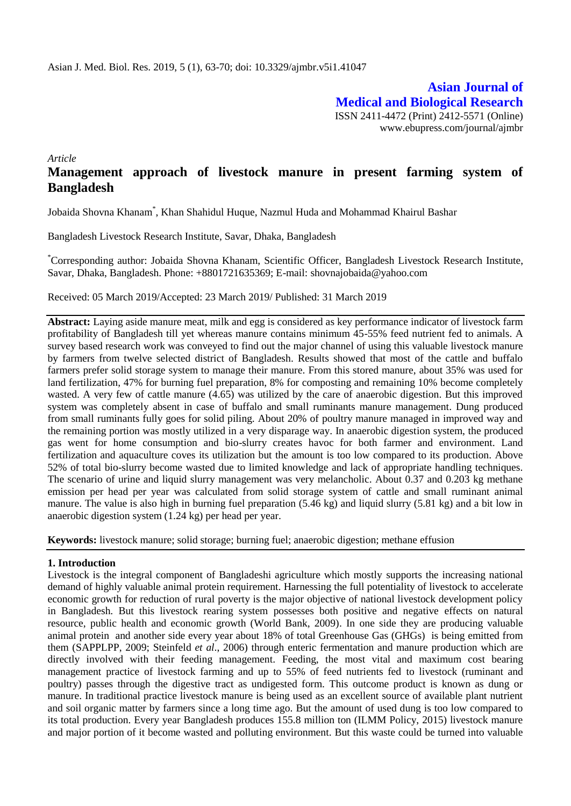**Asian Journal of Medical and Biological Research** ISSN 2411-4472 (Print) 2412-5571 (Online) www.ebupress.com/journal/ajmbr

*Article*

# **Management approach of livestock manure in present farming system of Bangladesh**

Jobaida Shovna Khanam\* , Khan Shahidul Huque, Nazmul Huda and Mohammad Khairul Bashar

Bangladesh Livestock Research Institute, Savar, Dhaka, Bangladesh

\*Corresponding author: Jobaida Shovna Khanam, Scientific Officer, Bangladesh Livestock Research Institute, Savar, Dhaka, Bangladesh. Phone: +8801721635369; E-mail: [shovnajobaida@yahoo.com](mailto:shovnajobaida@yahoo.com)

Received: 05 March 2019/Accepted: 23 March 2019/ Published: 31 March 2019

**Abstract:** Laying aside manure meat, milk and egg is considered as key performance indicator of livestock farm profitability of Bangladesh till yet whereas manure contains minimum 45-55% feed nutrient fed to animals. A survey based research work was conveyed to find out the major channel of using this valuable livestock manure by farmers from twelve selected district of Bangladesh. Results showed that most of the cattle and buffalo farmers prefer solid storage system to manage their manure. From this stored manure, about 35% was used for land fertilization, 47% for burning fuel preparation, 8% for composting and remaining 10% become completely wasted. A very few of cattle manure (4.65) was utilized by the care of anaerobic digestion. But this improved system was completely absent in case of buffalo and small ruminants manure management. Dung produced from small ruminants fully goes for solid piling. About 20% of poultry manure managed in improved way and the remaining portion was mostly utilized in a very disparage way. In anaerobic digestion system, the produced gas went for home consumption and bio-slurry creates havoc for both farmer and environment. Land fertilization and aquaculture coves its utilization but the amount is too low compared to its production. Above 52% of total bio-slurry become wasted due to limited knowledge and lack of appropriate handling techniques. The scenario of urine and liquid slurry management was very melancholic. About 0.37 and 0.203 kg methane emission per head per year was calculated from solid storage system of cattle and small ruminant animal manure. The value is also high in burning fuel preparation (5.46 kg) and liquid slurry (5.81 kg) and a bit low in anaerobic digestion system (1.24 kg) per head per year.

**Keywords:** livestock manure; solid storage; burning fuel; anaerobic digestion; methane effusion

# **1. Introduction**

Livestock is the integral component of Bangladeshi agriculture which mostly supports the increasing national demand of highly valuable animal protein requirement. Harnessing the full potentiality of livestock to accelerate economic growth for reduction of rural poverty is the major objective of national livestock development policy in Bangladesh. But this livestock rearing system possesses both positive and negative effects on natural resource, public health and economic growth (World Bank, 2009). In one side they are producing valuable animal protein and another side every year about 18% of total Greenhouse Gas (GHGs) is being emitted from them (SAPPLPP, 2009; Steinfeld *et al*., 2006) through enteric fermentation and manure production which are directly involved with their feeding management. Feeding, the most vital and maximum cost bearing management practice of livestock farming and up to 55% of feed nutrients fed to livestock (ruminant and poultry) passes through the digestive tract as undigested form. This outcome product is known as dung or manure. In traditional practice livestock manure is being used as an excellent source of available plant nutrient and soil organic matter by farmers since a long time ago. But the amount of used dung is too low compared to its total production. Every year Bangladesh produces 155.8 million ton (ILMM Policy, 2015) livestock manure and major portion of it become wasted and polluting environment. But this waste could be turned into valuable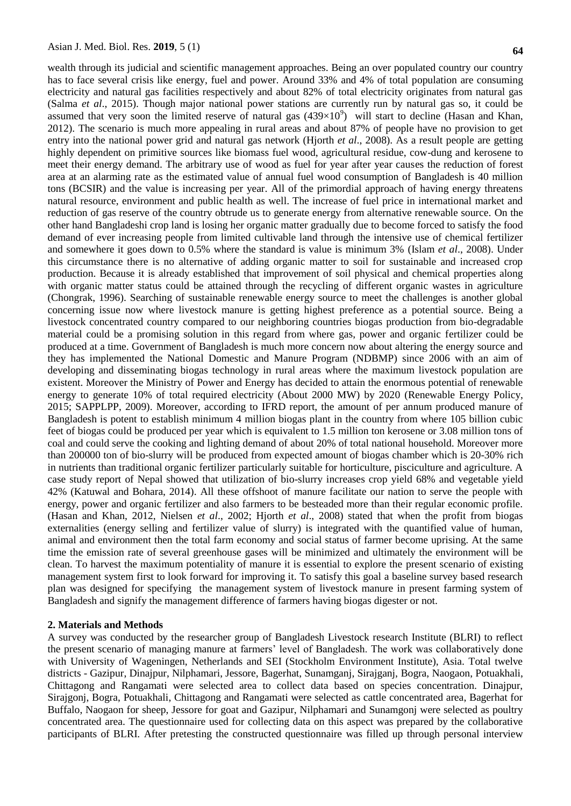wealth through its judicial and scientific management approaches. Being an over populated country our country has to face several crisis like energy, fuel and power. Around 33% and 4% of total population are consuming electricity and natural gas facilities respectively and about 82% of total electricity originates from natural gas (Salma *et al*., 2015). Though major national power stations are currently run by natural gas so, it could be assumed that very soon the limited reserve of natural gas  $(439\times10^9)$  will start to decline (Hasan and Khan, 2012). The scenario is much more appealing in rural areas and about 87% of people have no provision to get entry into the national power grid and natural gas network (Hjorth *et al*., 2008). As a result people are getting highly dependent on primitive sources like biomass fuel wood, agricultural residue, cow-dung and kerosene to meet their energy demand. The arbitrary use of wood as fuel for year after year causes the reduction of forest area at an alarming rate as the estimated value of annual fuel wood consumption of Bangladesh is 40 million tons (BCSIR) and the value is increasing per year. All of the primordial approach of having energy threatens natural resource, environment and public health as well. The increase of fuel price in international market and reduction of gas reserve of the country obtrude us to generate energy from alternative renewable source. On the other hand Bangladeshi crop land is losing her organic matter gradually due to become forced to satisfy the food demand of ever increasing people from limited cultivable land through the intensive use of chemical fertilizer and somewhere it goes down to 0.5% where the standard is value is minimum 3% (Islam *et al*., 2008). Under this circumstance there is no alternative of adding organic matter to soil for sustainable and increased crop production. Because it is already established that improvement of soil physical and chemical properties along with organic matter status could be attained through the recycling of different organic wastes in agriculture (Chongrak, 1996). Searching of sustainable renewable energy source to meet the challenges is another global concerning issue now where livestock manure is getting highest preference as a potential source. Being a livestock concentrated country compared to our neighboring countries biogas production from bio-degradable material could be a promising solution in this regard from where gas, power and organic fertilizer could be produced at a time. Government of Bangladesh is much more concern now about altering the energy source and they has implemented the National Domestic and Manure Program (NDBMP) since 2006 with an aim of developing and disseminating biogas technology in rural areas where the maximum livestock population are existent. Moreover the Ministry of Power and Energy has decided to attain the enormous potential of renewable energy to generate 10% of total required electricity (About 2000 MW) by 2020 (Renewable Energy Policy, 2015; SAPPLPP, 2009). Moreover, according to IFRD report, the amount of per annum produced manure of Bangladesh is potent to establish minimum 4 million biogas plant in the country from where 105 billion cubic feet of biogas could be produced per year which is equivalent to 1.5 million ton kerosene or 3.08 million tons of coal and could serve the cooking and lighting demand of about 20% of total national household. Moreover more than 200000 ton of bio-slurry will be produced from expected amount of biogas chamber which is 20-30% rich in nutrients than traditional organic fertilizer particularly suitable for horticulture, pisciculture and agriculture. A case study report of Nepal showed that utilization of bio-slurry increases crop yield 68% and vegetable yield 42% (Katuwal and Bohara, 2014). All these offshoot of manure facilitate our nation to serve the people with energy, power and organic fertilizer and also farmers to be besteaded more than their regular economic profile. (Hasan and Khan, 2012, Nielsen *et al*., 2002; Hjorth *et al*., 2008) stated that when the profit from biogas externalities (energy selling and fertilizer value of slurry) is integrated with the quantified value of human, animal and environment then the total farm economy and social status of farmer become uprising. At the same time the emission rate of several greenhouse gases will be minimized and ultimately the environment will be clean. To harvest the maximum potentiality of manure it is essential to explore the present scenario of existing management system first to look forward for improving it. To satisfy this goal a baseline survey based research plan was designed for specifying the management system of livestock manure in present farming system of Bangladesh and signify the management difference of farmers having biogas digester or not.

## **2. Materials and Methods**

A survey was conducted by the researcher group of Bangladesh Livestock research Institute (BLRI) to reflect the present scenario of managing manure at farmers' level of Bangladesh. The work was collaboratively done with University of Wageningen, Netherlands and SEI (Stockholm Environment Institute), Asia. Total twelve districts - Gazipur, Dinajpur, Nilphamari, Jessore, Bagerhat, Sunamganj, Sirajganj, Bogra, Naogaon, Potuakhali, Chittagong and Rangamati were selected area to collect data based on species concentration. Dinajpur, Sirajgonj, Bogra, Potuakhali, Chittagong and Rangamati were selected as cattle concentrated area, Bagerhat for Buffalo, Naogaon for sheep, Jessore for goat and Gazipur, Nilphamari and Sunamgonj were selected as poultry concentrated area. The questionnaire used for collecting data on this aspect was prepared by the collaborative participants of BLRI. After pretesting the constructed questionnaire was filled up through personal interview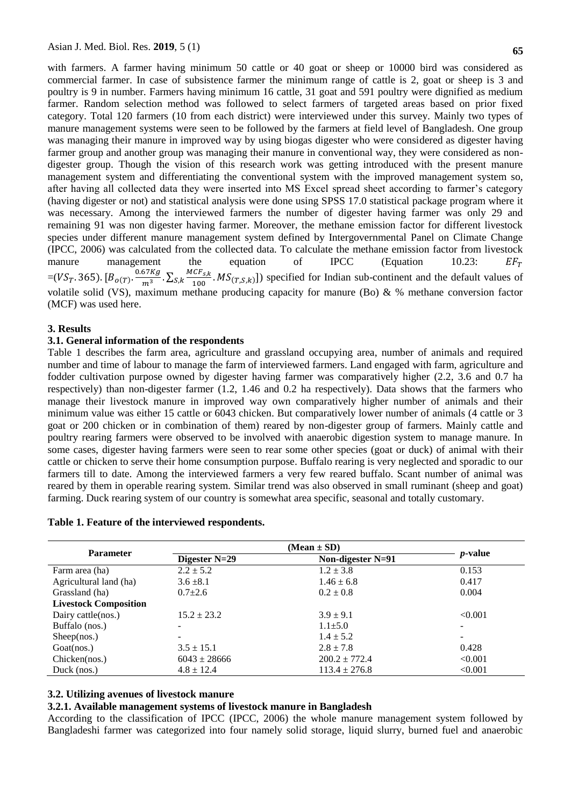with farmers. A farmer having minimum 50 cattle or 40 goat or sheep or 10000 bird was considered as commercial farmer. In case of subsistence farmer the minimum range of cattle is 2, goat or sheep is 3 and poultry is 9 in number. Farmers having minimum 16 cattle, 31 goat and 591 poultry were dignified as medium farmer. Random selection method was followed to select farmers of targeted areas based on prior fixed category. Total 120 farmers (10 from each district) were interviewed under this survey. Mainly two types of manure management systems were seen to be followed by the farmers at field level of Bangladesh. One group was managing their manure in improved way by using biogas digester who were considered as digester having farmer group and another group was managing their manure in conventional way, they were considered as nondigester group. Though the vision of this research work was getting introduced with the present manure management system and differentiating the conventional system with the improved management system so, after having all collected data they were inserted into MS Excel spread sheet according to farmer's category (having digester or not) and statistical analysis were done using SPSS 17.0 statistical package program where it was necessary. Among the interviewed farmers the number of digester having farmer was only 29 and remaining 91 was non digester having farmer. Moreover, the methane emission factor for different livestock species under different manure management system defined by Intergovernmental Panel on Climate Change (IPCC, 2006) was calculated from the collected data. To calculate the methane emission factor from livestock manure management the equation of IPCC (Equation 10.23:  $E$ =(VS<sub>T</sub>. 365).  $[B_{o(T)} \cdot \frac{0}{\cdot}]$  $\frac{67Kg}{m^3}$ .  $\Sigma_{S,k} \frac{MCF_{S,k}}{100}$ .  $MS(T,S,k)$ ]) specified for Indian sub-continent and the default values of volatile solid (VS), maximum methane producing capacity for manure (Bo) & % methane conversion factor (MCF) was used here.

## **3. Results**

## **3.1. General information of the respondents**

Table 1 describes the farm area, agriculture and grassland occupying area, number of animals and required number and time of labour to manage the farm of interviewed farmers. Land engaged with farm, agriculture and fodder cultivation purpose owned by digester having farmer was comparatively higher (2.2, 3.6 and 0.7 ha respectively) than non-digester farmer (1.2, 1.46 and 0.2 ha respectively). Data shows that the farmers who manage their livestock manure in improved way own comparatively higher number of animals and their minimum value was either 15 cattle or 6043 chicken. But comparatively lower number of animals (4 cattle or 3 goat or 200 chicken or in combination of them) reared by non-digester group of farmers. Mainly cattle and poultry rearing farmers were observed to be involved with anaerobic digestion system to manage manure. In some cases, digester having farmers were seen to rear some other species (goat or duck) of animal with their cattle or chicken to serve their home consumption purpose. Buffalo rearing is very neglected and sporadic to our farmers till to date. Among the interviewed farmers a very few reared buffalo. Scant number of animal was reared by them in operable rearing system. Similar trend was also observed in small ruminant (sheep and goat) farming. Duck rearing system of our country is somewhat area specific, seasonal and totally customary.

| <b>Parameter</b>             | $(Mean \pm SD)$  |                   |                 |  |
|------------------------------|------------------|-------------------|-----------------|--|
|                              | Digester N=29    | Non-digester N=91 | <i>p</i> -value |  |
| Farm area (ha)               | $2.2 \pm 5.2$    | $1.2 \pm 3.8$     | 0.153           |  |
| Agricultural land (ha)       | $3.6 \pm 8.1$    | $1.46 \pm 6.8$    | 0.417           |  |
| Grassland (ha)               | $0.7+2.6$        | $0.2 \pm 0.8$     | 0.004           |  |
| <b>Livestock Composition</b> |                  |                   |                 |  |
| Dairy cattle(nos.)           | $15.2 \pm 23.2$  | $3.9 \pm 9.1$     | < 0.001         |  |
| Buffalo (nos.)               |                  | $1.1 \pm 5.0$     |                 |  |
| Sheep(nos.)                  |                  | $1.4 \pm 5.2$     |                 |  |
| Goat(nos.)                   | $3.5 \pm 15.1$   | $2.8 \pm 7.8$     | 0.428           |  |
| Chicken(nos.)                | $6043 \pm 28666$ | $200.2 \pm 772.4$ | < 0.001         |  |
| Duck $(nos.)$                | $4.8 \pm 12.4$   | $113.4 \pm 276.8$ | < 0.001         |  |

### **Table 1. Feature of the interviewed respondents.**

# **3.2. Utilizing avenues of livestock manure**

# **3.2.1. Available management systems of livestock manure in Bangladesh**

According to the classification of IPCC (IPCC, 2006) the whole manure management system followed by Bangladeshi farmer was categorized into four namely solid storage, liquid slurry, burned fuel and anaerobic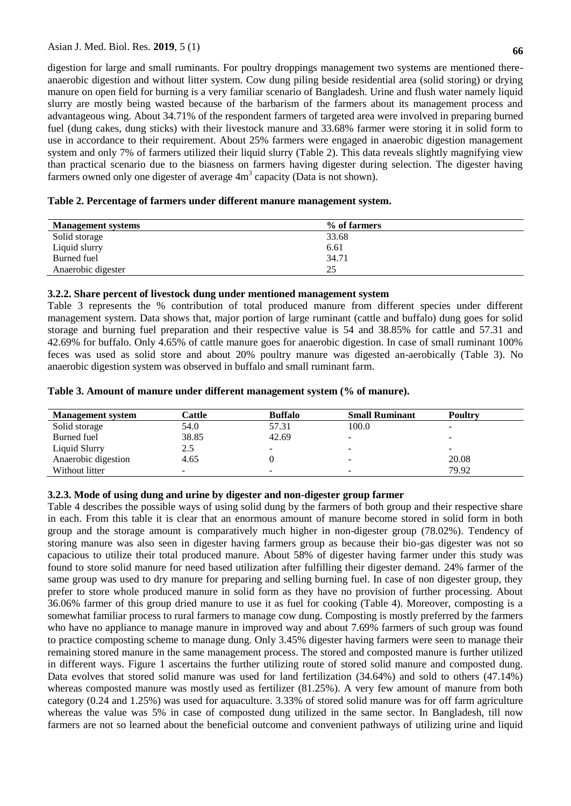digestion for large and small ruminants. For poultry droppings management two systems are mentioned thereanaerobic digestion and without litter system. Cow dung piling beside residential area (solid storing) or drying manure on open field for burning is a very familiar scenario of Bangladesh. Urine and flush water namely liquid slurry are mostly being wasted because of the barbarism of the farmers about its management process and advantageous wing. About 34.71% of the respondent farmers of targeted area were involved in preparing burned fuel (dung cakes, dung sticks) with their livestock manure and 33.68% farmer were storing it in solid form to use in accordance to their requirement. About 25% farmers were engaged in anaerobic digestion management system and only 7% of farmers utilized their liquid slurry (Table 2). This data reveals slightly magnifying view than practical scenario due to the biasness on farmers having digester during selection. The digester having farmers owned only one digester of average  $4m<sup>3</sup>$  capacity (Data is not shown).

|  |  | Table 2. Percentage of farmers under different manure management system. |  |
|--|--|--------------------------------------------------------------------------|--|
|  |  |                                                                          |  |

| <b>Management systems</b> | % of farmers |
|---------------------------|--------------|
| Solid storage             | 33.68        |
| Liquid slurry             | 6.61         |
| Burned fuel               | 34.71        |
| Anaerobic digester        | 25           |

# **3.2.2. Share percent of livestock dung under mentioned management system**

Table 3 represents the % contribution of total produced manure from different species under different management system. Data shows that, major portion of large ruminant (cattle and buffalo) dung goes for solid storage and burning fuel preparation and their respective value is 54 and 38.85% for cattle and 57.31 and 42.69% for buffalo. Only 4.65% of cattle manure goes for anaerobic digestion. In case of small ruminant 100% feces was used as solid store and about 20% poultry manure was digested an-aerobically (Table 3). No anaerobic digestion system was observed in buffalo and small ruminant farm.

## **Table 3. Amount of manure under different management system (% of manure).**

| <b>Management</b> system | Cattle | <b>Buffalo</b> | <b>Small Ruminant</b>    | <b>Poultry</b>           |
|--------------------------|--------|----------------|--------------------------|--------------------------|
| Solid storage            | 54.0   | 57.31          | 100.0                    | $\overline{\phantom{0}}$ |
| Burned fuel              | 38.85  | 42.69          | $\overline{\phantom{0}}$ |                          |
| Liquid Slurry            | 2.5    |                | -                        | -                        |
| Anaerobic digestion      | 4.65   |                | $\overline{\phantom{0}}$ | 20.08                    |
| Without litter           | ۰      | -              | ۰                        | 79.92                    |

# **3.2.3. Mode of using dung and urine by digester and non-digester group farmer**

Table 4 describes the possible ways of using solid dung by the farmers of both group and their respective share in each. From this table it is clear that an enormous amount of manure become stored in solid form in both group and the storage amount is comparatively much higher in non-digester group (78.02%). Tendency of storing manure was also seen in digester having farmers group as because their bio-gas digester was not so capacious to utilize their total produced manure. About 58% of digester having farmer under this study was found to store solid manure for need based utilization after fulfilling their digester demand. 24% farmer of the same group was used to dry manure for preparing and selling burning fuel. In case of non digester group, they prefer to store whole produced manure in solid form as they have no provision of further processing. About 36.06% farmer of this group dried manure to use it as fuel for cooking (Table 4). Moreover, composting is a somewhat familiar process to rural farmers to manage cow dung. Composting is mostly preferred by the farmers who have no appliance to manage manure in improved way and about 7.69% farmers of such group was found to practice composting scheme to manage dung. Only 3.45% digester having farmers were seen to manage their remaining stored manure in the same management process. The stored and composted manure is further utilized in different ways. Figure 1 ascertains the further utilizing route of stored solid manure and composted dung. Data evolves that stored solid manure was used for land fertilization (34.64%) and sold to others (47.14%) whereas composted manure was mostly used as fertilizer (81.25%). A very few amount of manure from both category (0.24 and 1.25%) was used for aquaculture. 3.33% of stored solid manure was for off farm agriculture whereas the value was 5% in case of composted dung utilized in the same sector. In Bangladesh, till now farmers are not so learned about the beneficial outcome and convenient pathways of utilizing urine and liquid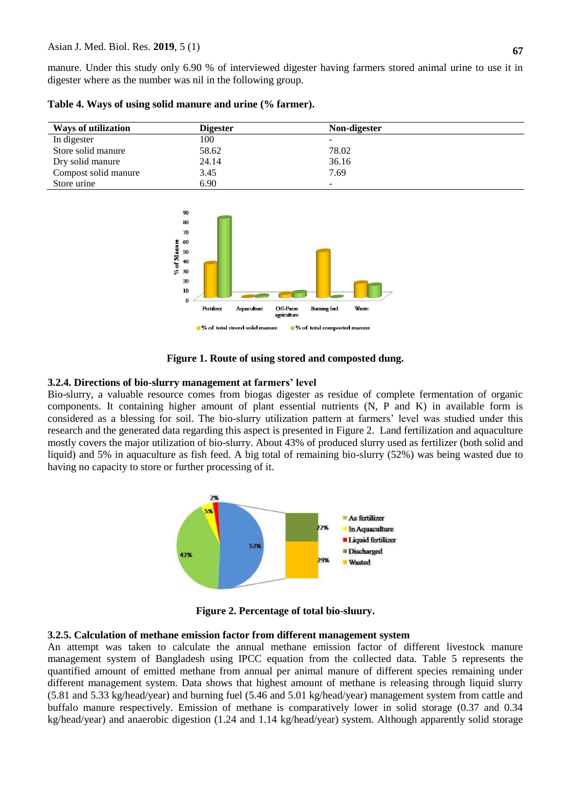manure. Under this study only 6.90 % of interviewed digester having farmers stored animal urine to use it in digester where as the number was nil in the following group.

| <b>Ways of utilization</b> | <b>Digester</b> | Non-digester             |  |
|----------------------------|-----------------|--------------------------|--|
| In digester                | 100             | $\overline{\phantom{0}}$ |  |
| Store solid manure         | 58.62           | 78.02                    |  |
| Dry solid manure           | 24.14           | 36.16                    |  |
| Compost solid manure       | 3.45            | 7.69                     |  |
| Store urine                | 6.90            | -                        |  |





**Figure 1. Route of using stored and composted dung.**

## **3.2.4. Directions of bio-slurry management at farmers' level**

Bio-slurry, a valuable resource comes from biogas digester as residue of complete fermentation of organic components. It containing higher amount of plant essential nutrients (N, P and K) in available form is considered as a blessing for soil. The bio-slurry utilization pattern at farmers' level was studied under this research and the generated data regarding this aspect is presented in Figure 2. Land fertilization and aquaculture mostly covers the major utilization of bio-slurry. About 43% of produced slurry used as fertilizer (both solid and liquid) and 5% in aquaculture as fish feed. A big total of remaining bio-slurry (52%) was being wasted due to having no capacity to store or further processing of it.



**Figure 2. Percentage of total bio-sluury.**

## **3.2.5. Calculation of methane emission factor from different management system**

An attempt was taken to calculate the annual methane emission factor of different livestock manure management system of Bangladesh using IPCC equation from the collected data. Table 5 represents the quantified amount of emitted methane from annual per animal manure of different species remaining under different management system. Data shows that highest amount of methane is releasing through liquid slurry (5.81 and 5.33 kg/head/year) and burning fuel (5.46 and 5.01 kg/head/year) management system from cattle and buffalo manure respectively. Emission of methane is comparatively lower in solid storage (0.37 and 0.34 kg/head/year) and anaerobic digestion (1.24 and 1.14 kg/head/year) system. Although apparently solid storage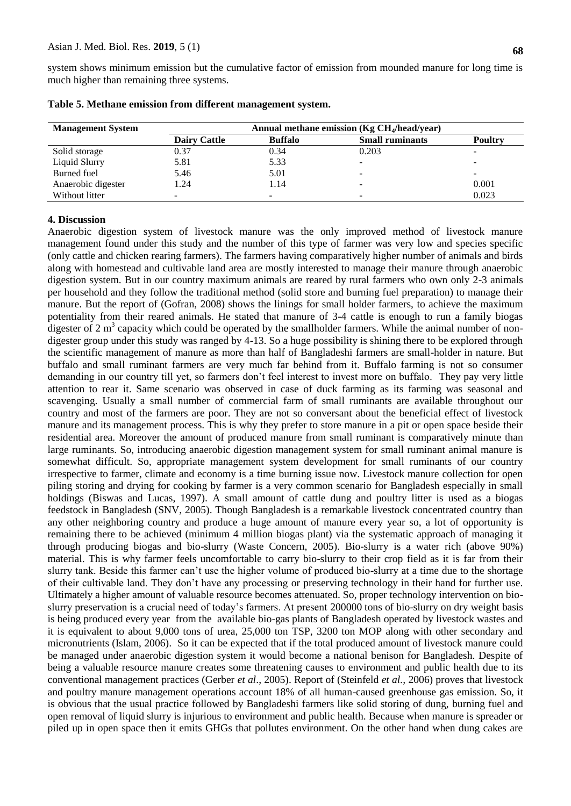system shows minimum emission but the cumulative factor of emission from mounded manure for long time is much higher than remaining three systems.

| <b>Management System</b> | Annual methane emission (Kg CH <sub>4</sub> /head/year) |                |                        |                |
|--------------------------|---------------------------------------------------------|----------------|------------------------|----------------|
|                          | <b>Dairy Cattle</b>                                     | <b>Buffalo</b> | <b>Small ruminants</b> | <b>Poultry</b> |
| Solid storage            | 0.37                                                    | 0.34           | 0.203                  |                |
| Liquid Slurry            | 5.81                                                    | 5.33           | -                      |                |
| Burned fuel              | 5.46                                                    | 5.01           | -                      | -              |
| Anaerobic digester       | 1.24                                                    | 1.14           | -                      | 0.001          |
| Without litter           |                                                         | ۰              | -                      | 0.023          |

**Table 5. Methane emission from different management system.**

### **4. Discussion**

Anaerobic digestion system of livestock manure was the only improved method of livestock manure management found under this study and the number of this type of farmer was very low and species specific (only cattle and chicken rearing farmers). The farmers having comparatively higher number of animals and birds along with homestead and cultivable land area are mostly interested to manage their manure through anaerobic digestion system. But in our country maximum animals are reared by rural farmers who own only 2-3 animals per household and they follow the traditional method (solid store and burning fuel preparation) to manage their manure. But the report of (Gofran, 2008) shows the linings for small holder farmers, to achieve the maximum potentiality from their reared animals. He stated that manure of 3-4 cattle is enough to run a family biogas digester of 2  $m<sup>3</sup>$  capacity which could be operated by the smallholder farmers. While the animal number of nondigester group under this study was ranged by 4-13. So a huge possibility is shining there to be explored through the scientific management of manure as more than half of Bangladeshi farmers are small-holder in nature. But buffalo and small ruminant farmers are very much far behind from it. Buffalo farming is not so consumer demanding in our country till yet, so farmers don't feel interest to invest more on buffalo. They pay very little attention to rear it. Same scenario was observed in case of duck farming as its farming was seasonal and scavenging. Usually a small number of commercial farm of small ruminants are available throughout our country and most of the farmers are poor. They are not so conversant about the beneficial effect of livestock manure and its management process. This is why they prefer to store manure in a pit or open space beside their residential area. Moreover the amount of produced manure from small ruminant is comparatively minute than large ruminants. So, introducing anaerobic digestion management system for small ruminant animal manure is somewhat difficult. So, appropriate management system development for small ruminants of our country irrespective to farmer, climate and economy is a time burning issue now. Livestock manure collection for open piling storing and drying for cooking by farmer is a very common scenario for Bangladesh especially in small holdings (Biswas and Lucas, 1997). A small amount of cattle dung and poultry litter is used as a biogas feedstock in Bangladesh (SNV, 2005). Though Bangladesh is a remarkable livestock concentrated country than any other neighboring country and produce a huge amount of manure every year so, a lot of opportunity is remaining there to be achieved (minimum 4 million biogas plant) via the systematic approach of managing it through producing biogas and bio-slurry (Waste Concern, 2005). Bio-slurry is a water rich (above 90%) material. This is why farmer feels uncomfortable to carry bio-slurry to their crop field as it is far from their slurry tank. Beside this farmer can't use the higher volume of produced bio-slurry at a time due to the shortage of their cultivable land. They don't have any processing or preserving technology in their hand for further use. Ultimately a higher amount of valuable resource becomes attenuated. So, proper technology intervention on bioslurry preservation is a crucial need of today's farmers. At present 200000 tons of bio-slurry on dry weight basis is being produced every year from the available bio-gas plants of Bangladesh operated by livestock wastes and it is equivalent to about 9,000 tons of urea, 25,000 ton TSP, 3200 ton MOP along with other secondary and micronutrients (Islam, 2006). So it can be expected that if the total produced amount of livestock manure could be managed under anaerobic digestion system it would become a national benison for Bangladesh. Despite of being a valuable resource manure creates some threatening causes to environment and public health due to its conventional management practices (Gerber *et al*., 2005). Report of (Steinfeld *et al.,* 2006) proves that livestock and poultry manure management operations account 18% of all human-caused greenhouse gas emission. So, it is obvious that the usual practice followed by Bangladeshi farmers like solid storing of dung, burning fuel and open removal of liquid slurry is injurious to environment and public health. Because when manure is spreader or piled up in open space then it emits GHGs that pollutes environment. On the other hand when dung cakes are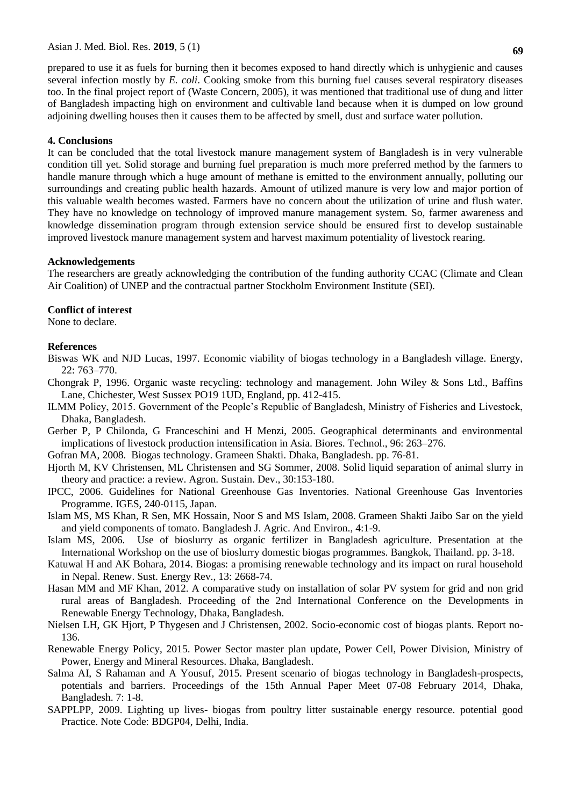prepared to use it as fuels for burning then it becomes exposed to hand directly which is unhygienic and causes several infection mostly by *E. coli*. Cooking smoke from this burning fuel causes several respiratory diseases too. In the final project report of (Waste Concern, 2005), it was mentioned that traditional use of dung and litter of Bangladesh impacting high on environment and cultivable land because when it is dumped on low ground adjoining dwelling houses then it causes them to be affected by smell, dust and surface water pollution.

# **4. Conclusions**

It can be concluded that the total livestock manure management system of Bangladesh is in very vulnerable condition till yet. Solid storage and burning fuel preparation is much more preferred method by the farmers to handle manure through which a huge amount of methane is emitted to the environment annually, polluting our surroundings and creating public health hazards. Amount of utilized manure is very low and major portion of this valuable wealth becomes wasted. Farmers have no concern about the utilization of urine and flush water. They have no knowledge on technology of improved manure management system. So, farmer awareness and knowledge dissemination program through extension service should be ensured first to develop sustainable improved livestock manure management system and harvest maximum potentiality of livestock rearing.

### **Acknowledgements**

The researchers are greatly acknowledging the contribution of the funding authority CCAC (Climate and Clean Air Coalition) of UNEP and the contractual partner Stockholm Environment Institute (SEI).

# **Conflict of interest**

None to declare.

## **References**

- Biswas WK and NJD Lucas, 1997. Economic viability of biogas technology in a Bangladesh village. Energy, 22: 763–770.
- Chongrak P, 1996. Organic waste recycling: technology and management. John Wiley & Sons Ltd., Baffins Lane, Chichester, West Sussex PO19 1UD, England, pp. 412-415.
- ILMM Policy, 2015. Government of the People's Republic of Bangladesh, Ministry of Fisheries and Livestock, Dhaka, Bangladesh.
- Gerber P, P Chilonda, G Franceschini and H Menzi, 2005. Geographical determinants and environmental implications of livestock production intensification in Asia. Biores. Technol., 96: 263–276.
- Gofran MA, 2008. Biogas technology. Grameen Shakti. Dhaka, Bangladesh. pp. 76-81.
- Hjorth M, KV Christensen, ML Christensen and SG Sommer, 2008. Solid liquid separation of animal slurry in theory and practice: a review. Agron. Sustain. Dev., 30:153-180.
- IPCC, 2006. Guidelines for National Greenhouse Gas Inventories. National Greenhouse Gas Inventories Programme. IGES, 240-0115, Japan.
- Islam MS, MS Khan, R Sen, MK Hossain, Noor S and MS Islam, 2008. Grameen Shakti Jaibo Sar on the yield and yield components of tomato. Bangladesh J. Agric. And Environ., 4:1-9.
- Islam MS, 2006. Use of bioslurry as organic fertilizer in Bangladesh agriculture. Presentation at the International Workshop on the use of bioslurry domestic biogas programmes. Bangkok, Thailand. pp. 3-18.
- Katuwal H and AK Bohara, 2014. Biogas: a promising renewable technology and its impact on rural household in Nepal. Renew. Sust. Energy Rev., 13: 2668-74.
- Hasan MM and MF Khan, 2012. A comparative study on installation of solar PV system for grid and non grid rural areas of Bangladesh. Proceeding of the 2nd International Conference on the Developments in Renewable Energy Technology, Dhaka, Bangladesh.
- Nielsen LH, GK Hjort, P Thygesen and J Christensen, 2002. Socio-economic cost of biogas plants. Report no-136.
- Renewable Energy Policy, 2015. Power Sector master plan update, Power Cell, Power Division, Ministry of Power, Energy and Mineral Resources. Dhaka, Bangladesh.
- Salma AI, S Rahaman and A Yousuf, 2015. Present scenario of biogas technology in Bangladesh-prospects, potentials and barriers. Proceedings of the 15th Annual Paper Meet 07-08 February 2014, Dhaka, Bangladesh. 7: 1-8.
- SAPPLPP, 2009. Lighting up lives- biogas from poultry litter sustainable energy resource. potential good Practice. Note Code: BDGP04, Delhi, India.